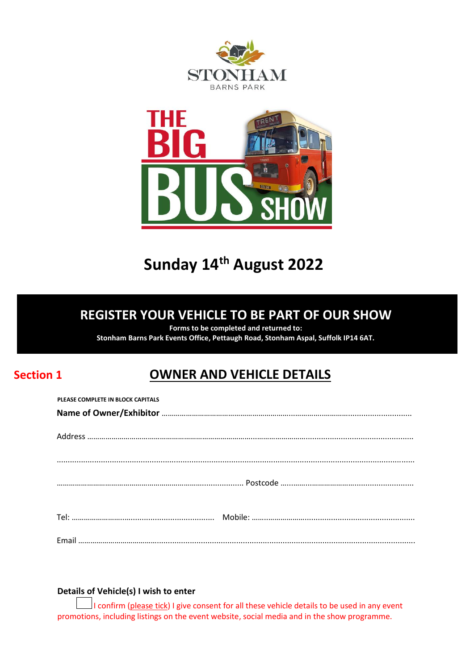



# **Sunday 14th August 2022**

## **REGISTER YOUR VEHICLE TO BE PART OF OUR SHOW**

**Forms to be completed and returned to:** 

**Stonham Barns Park Events Office, Pettaugh Road, Stonham Aspal, Suffolk IP14 6AT.**

## **Section 1 OWNER AND VEHICLE DETAILS**

#### **Details of Vehicle(s) I wish to enter**

I confirm (please tick) I give consent for all these vehicle details to be used in any event promotions, including listings on the event website, social media and in the show programme.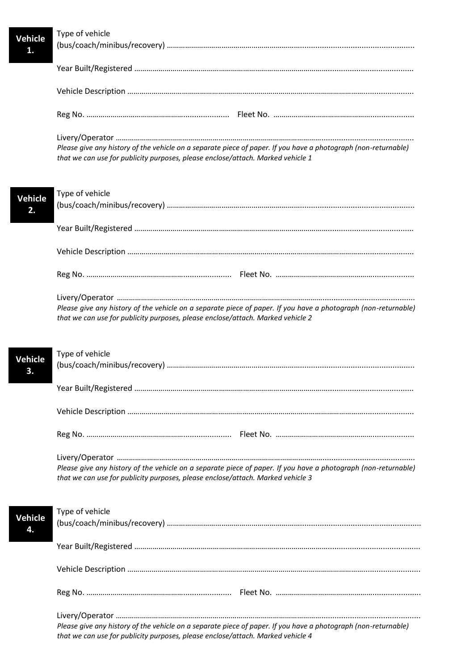Type of vehicle (bus/coach/minibus/recovery) ………………………………………………………….................................................... Year Built/Registered ……………………………………………………………………………………....................................... Vehicle Description ………………………………………………………………………………………………………....................... Reg No. …………………………………………..................... Fleet No. ………………………………………….................... Livery/Operator ………………………………………………………………………………………….......................................... *Please give any history of the vehicle on a separate piece of paper. If you have a photograph (non-returnable) that we can use for publicity purposes, please enclose/attach. Marked vehicle 1*  Type of vehicle (bus/coach/minibus/recovery) ………………………………………………………….................................................... Year Built/Registered ……………………………………………………………………………………....................................... Vehicle Description ………………………………………………………………………………………………………....................... Reg No. …………………………………………...................... Fleet No. …………………………………………................... Livery/Operator ………………………………………………………………………………………….......................................... *Please give any history of the vehicle on a separate piece of paper. If you have a photograph (non-returnable) that we can use for publicity purposes, please enclose/attach. Marked vehicle 2*  Type of vehicle (bus/coach/minibus/recovery) ………………………………………………………….................................................... Year Built/Registered ……………………………………………………………………………………....................................... Vehicle Description ………………………………………………………………………………………………………....................... Reg No. …………………………………………...................... Fleet No. …………………………………………................... Livery/Operator ………………………………………………………………………………………….......................................... *Please give any history of the vehicle on a separate piece of paper. If you have a photograph (non-returnable) that we can use for publicity purposes, please enclose/attach. Marked vehicle 3*  Type of vehicle (bus/coach/minibus/recovery) …………………………………………………………....................................................... Year Built/Registered …………………………………………………………………………………….......................................... Vehicle Description ……………………………………………………………………………………………………….......................... Reg No. …………………………………………...................... Fleet No. …………………………………………...................... Livery/Operator …………………………………………………………………………………………............................................. *Please give any history of the vehicle on a separate piece of paper. If you have a photograph (non-returnable) that we can use for publicity purposes, please enclose/attach. Marked vehicle 4*  **Vehicle 1. Vehicle 2. Vehicle 3. Vehicle 4.**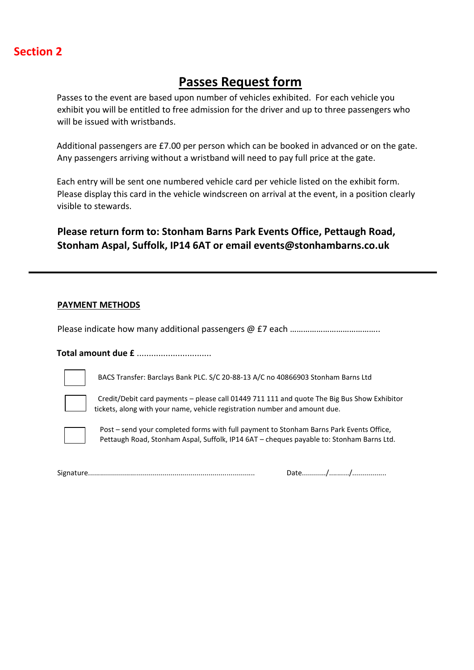### **Section 2**

## **Passes Request form**

Passes to the event are based upon number of vehicles exhibited. For each vehicle you exhibit you will be entitled to free admission for the driver and up to three passengers who will be issued with wristbands.

Additional passengers are £7.00 per person which can be booked in advanced or on the gate. Any passengers arriving without a wristband will need to pay full price at the gate.

Each entry will be sent one numbered vehicle card per vehicle listed on the exhibit form. Please display this card in the vehicle windscreen on arrival at the event, in a position clearly visible to stewards.

**Please return form to: Stonham Barns Park Events Office, Pettaugh Road, Stonham Aspal, Suffolk, IP14 6AT or email events@stonhambarns.co.uk**

#### **PAYMENT METHODS**

Please indicate how many additional passengers @ £7 each …………………………………..

**Total amount due £** ...............................

BACS Transfer: Barclays Bank PLC. S/C 20-88-13 A/C no 40866903 Stonham Barns Ltd



 Credit/Debit card payments – please call 01449 711 111 and quote The Big Bus Show Exhibitor tickets, along with your name, vehicle registration number and amount due.



Post – send your completed forms with full payment to Stonham Barns Park Events Office, Pettaugh Road, Stonham Aspal, Suffolk, IP14 6AT – cheques payable to: Stonham Barns Ltd.

Signature................................................................................... Date............/........../.................